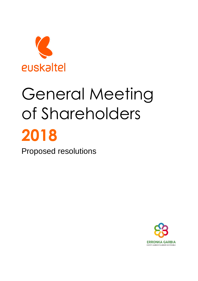

# General Meeting of Shareholders **2018**

Proposed resolutions

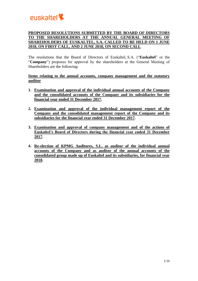

# **PROPOSED RESOLUTIONS SUBMITTED BY THE BOARD OF DIRECTORS TO THE SHAREHOLDERS AT THE ANNUAL GENERAL MEETING OF SHAREHOLDERS OF EUSKALTEL, S.A. CALLED TO BE HELD ON 1 JUNE 2018, ON FIRST CALL, AND 2 JUNE 2018, ON SECOND CALL**

The resolutions that the Board of Directors of Euskaltel, S.A. ("**Euskaltel**" or the "**Company**") proposes for approval by the shareholders at the General Meeting of Shareholders are the following:

**Items relating to the annual accounts, company management and the statutory auditor**

- **1. Examination and approval of the individual annual accounts of the Company and the consolidated accounts of the Company and its subsidiaries for the financial year ended 31 December 2017.**
- **2. Examination and approval of the individual management report of the Company and the consolidated management report of the Company and its subsidiaries for the financial year ended 31 December 2017.**
- **3. Examination and approval of company management and of the actions of Euskaltel's Board of Directors during the financial year ended 31 December 2017.**
- **4. Re-election of KPMG Auditores, S.L. as auditor of the individual annual accounts of the Company and as auditor of the annual accounts of the consolidated group made up of Euskaltel and its subsidiaries, for financial year 2018.**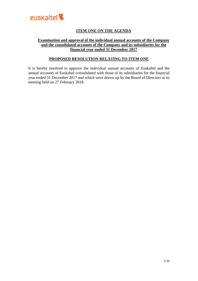

# **ITEM ONE ON THE AGENDA**

## **Examination and approval of the individual annual accounts of the Company and the consolidated accounts of the Company and its subsidiaries for the financial year ended 31 December 2017**

## **PROPOSED RESOLUTION RELATING TO ITEM ONE**

It is hereby resolved to approve the individual annual accounts of Euskaltel and the annual accounts of Euskaltel consolidated with those of its subsidiaries for the financial year ended 31 December 2017 and which were drawn up by the Board of Directors at its meeting held on 27 February 2018.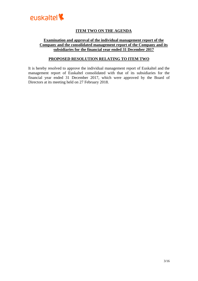

# **ITEM TWO ON THE AGENDA**

## **Examination and approval of the individual management report of the Company and the consolidated management report of the Company and its subsidiaries for the financial year ended 31 December 2017**

## **PROPOSED RESOLUTION RELATING TO ITEM TWO**

It is hereby resolved to approve the individual management report of Euskaltel and the management report of Euskaltel consolidated with that of its subsidiaries for the financial year ended 31 December 2017, which were approved by the Board of Directors at its meeting held on 27 February 2018.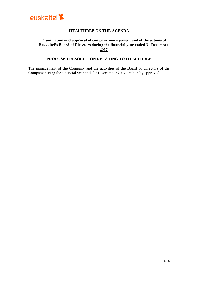

# **ITEM THREE ON THE AGENDA**

## **Examination and approval of company management and of the actions of Euskaltel's Board of Directors during the financial year ended 31 December 2017**

# **PROPOSED RESOLUTION RELATING TO ITEM THREE**

The management of the Company and the activities of the Board of Directors of the Company during the financial year ended 31 December 2017 are hereby approved.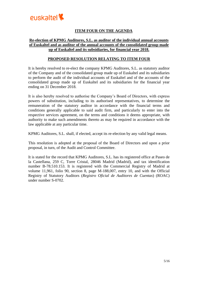

# **ITEM FOUR ON THE AGENDA**

## **Re-election of KPMG Auditores, S.L. as auditor of the individual annual accounts of Euskaltel and as auditor of the annual accounts of the consolidated group made up of Euskaltel and its subsidiaries, for financial year 2018.**

## **PROPOSED RESOLUTION RELATING TO ITEM FOUR**

It is hereby resolved to re-elect the company KPMG Auditores, S.L. as statutory auditor of the Company and of the consolidated group made up of Euskaltel and its subsidiaries to perform the audit of the individual accounts of Euskaltel and of the accounts of the consolidated group made up of Euskaltel and its subsidiaries for the financial year ending on 31 December 2018.

It is also hereby resolved to authorise the Company's Board of Directors, with express powers of substitution, including to its authorised representatives, to determine the remuneration of the statutory auditor in accordance with the financial terms and conditions generally applicable to said audit firm, and particularly to enter into the respective services agreement, on the terms and conditions it deems appropriate, with authority to make such amendments thereto as may be required in accordance with the law applicable at any particular time.

KPMG Auditores, S.L. shall, if elected, accept its re-election by any valid legal means.

This resolution is adopted at the proposal of the Board of Directors and upon a prior proposal, in turn, of the Audit and Control Committee.

It is stated for the record that KPMG Auditores, S.L. has its registered office at Paseo de la Castellana, 259 C, Torre Cristal, 28046 Madrid (Madrid), and tax identification number B-78.510.153. It is registered with the Commercial Registry of Madrid at volume 11,961, folio 90, section 8, page M-188,007, entry 10, and with the Official Registry of Statutory Auditors (*Registro Oficial de Auditores de Cuentas*) (ROAC) under number S-0702.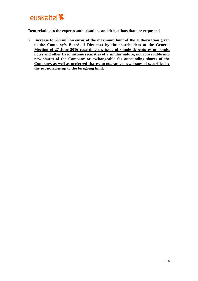

## **Item relating to the express authorisations and delegations that are requested**

**5. Increase to 600 million euros of the maximum limit of the authorisation given to the Company's Board of Directors by the shareholders at the General Meeting of 27 June 2016 regarding the issue of simple debentures or bonds, notes and other fixed income securities of a similar nature, not convertible into new shares of the Company or exchangeable for outstanding shares of the Company, as well as preferred shares, to guarantee new issues of securities by the subsidiaries up to the foregoing limit.**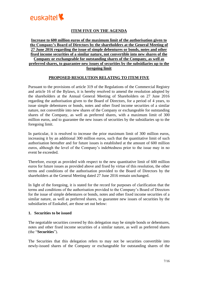

# **ITEM FIVE ON THE AGENDA**

## **Increase to 600 million euros of the maximum limit of the authorisation given to the Company's Board of Directors by the shareholders at the General Meeting of 27 June 2016 regarding the issue of simple debentures or bonds, notes and other fixed income securities of a similar nature, not convertible into new shares of the Company or exchangeable for outstanding shares of the Company, as well as preferred shares, to guarantee new issues of securities by the subsidiaries up to the foregoing limit**

#### **PROPOSED RESOLUTION RELATING TO ITEM FIVE**

Pursuant to the provisions of article 319 of the Regulations of the Commercial Registry and article 16 of the Bylaws, it is hereby resolved to amend the resolution adopted by the shareholders at the Annual General Meeting of Shareholders on 27 June 2016 regarding the authorisation given to the Board of Directors, for a period of 4 years, to issue simple debentures or bonds, notes and other fixed income securities of a similar nature, not convertible into new shares of the Company or exchangeable for outstanding shares of the Company, as well as preferred shares, with a maximum limit of 300 million euros, and to guarantee the new issues of securities by the subsidiaries up to the foregoing limit.

In particular, it is resolved to increase the prior maximum limit of 300 million euros, increasing it by an additional 300 million euros, such that the quantitative limit of such authorisation hereafter and for future issues is established at the amount of 600 million euros, although the level of the Company's indebtedness prior to the issue may in no event be exceeded.

Therefore, except as provided with respect to the new quantitative limit of 600 million euros for future issues as provided above and fixed by virtue of this resolution, the other terms and conditions of the authorisation provided to the Board of Directors by the shareholders at the General Meeting dated 27 June 2016 remain unchanged.

In light of the foregoing, it is stated for the record for purposes of clarification that the terms and conditions of the authorisation provided to the Company's Board of Directors for the issue of simple debentures or bonds, notes and other fixed income securities of a similar nature, as well as preferred shares, to guarantee new issues of securities by the subsidiaries of Euskaltel, are those set out below:

#### **1. Securities to be issued**

The negotiable securities covered by this delegation may be simple bonds or debentures, notes and other fixed income securities of a similar nature, as well as preferred shares (the "**Securities**").

The Securities that this delegation refers to may not be securities convertible into newly-issued shares of the Company or exchangeable for outstanding shares of the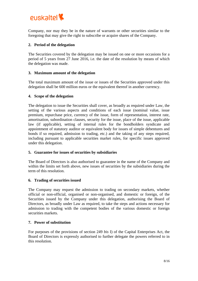

Company, nor may they be in the nature of warrants or other securities similar to the foregoing that may give the right to subscribe or acquire shares of the Company.

## **2. Period of the delegation**

The Securities covered by the delegation may be issued on one or more occasions for a period of 5 years from 27 June 2016, i.e. the date of the resolution by means of which the delegation was made.

#### **3. Maximum amount of the delegation**

The total maximum amount of the issue or issues of the Securities approved under this delegation shall be 600 million euros or the equivalent thereof in another currency.

#### **4. Scope of the delegation**

The delegation to issue the Securities shall cover, as broadly as required under Law, the setting of the various aspects and conditions of each issue (nominal value, issue premium, repurchase price, currency of the issue, form of representation, interest rate, amortisation, subordination clauses, security for the issue, place of the issue, applicable law (if applicable), setting of internal rules for the bondholders syndicate and appointment of statutory auditor or equivalent body for issues of simple debentures and bonds if so required, admission to trading, etc.) and the taking of any steps required, including pursuant to applicable securities market rules, for specific issues approved under this delegation.

#### **5. Guarantee for issues of securities by subsidiaries**

The Board of Directors is also authorised to guarantee in the name of the Company and within the limits set forth above, new issues of securities by the subsidiaries during the term of this resolution.

#### **6. Trading of securities issued**

The Company may request the admission to trading on secondary markets, whether official or non-official, organised or non-organised, and domestic or foreign, of the Securities issued by the Company under this delegation, authorising the Board of Directors, as broadly under Law as required, to take the steps and actions necessary for admission to trading with the competent bodies of the various domestic or foreign securities markets.

#### **7. Power of substitution**

For purposes of the provisions of section 249 *bis* I) of the Capital Enterprises Act, the Board of Directors is expressly authorised to further delegate the powers referred to in this resolution.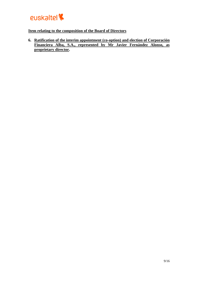

## **Item relating to the composition of the Board of Directors**

**6. Ratification of the interim appointment (co-option) and election of Corporación Financiera Alba, S.A., represented by Mr Javier Fernández Alonso, as proprietary director.**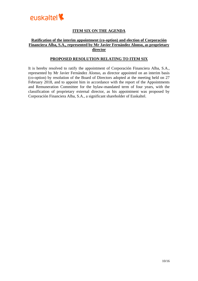

# **ITEM SIX ON THE AGENDA**

## **Ratification of the interim appointment (co-option) and election of Corporación Financiera Alba, S.A., represented by Mr Javier Fernández Alonso, as proprietary director**

#### **PROPOSED RESOLUTION RELATING TO ITEM SIX**

It is hereby resolved to ratify the appointment of Corporación Financiera Alba, S.A., represented by Mr Javier Fernández Alonso, as director appointed on an interim basis (co-option) by resolution of the Board of Directors adopted at the meeting held on 27 February 2018, and to appoint him in accordance with the report of the Appointments and Remuneration Committee for the bylaw-mandated term of four years, with the classification of proprietary external director, as his appointment was proposed by Corporación Financiera Alba, S.A., a significant shareholder of Euskaltel.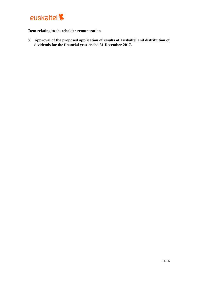

# **Item relating to shareholder remuneration**

**7. Approval of the proposed application of results of Euskaltel and distribution of dividends for the financial year ended 31 December 2017.**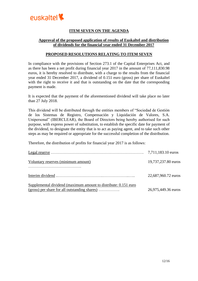

# **ITEM SEVEN ON THE AGENDA**

## **Approval of the proposed application of results of Euskaltel and distribution of dividends for the financial year ended 31 December 2017**

### **PROPOSED RESOLUTIONS RELATING TO ITEM SEVEN**

In compliance with the provisions of Section 273.1 of the Capital Enterprises Act, and as there has been a net profit during financial year 2017 in the amount of 77,111,830.98 euros, it is hereby resolved to distribute, with a charge to the results from the financial year ended 31 December 2017, a dividend of 0.151 euro (gross) per share of Euskaltel with the right to receive it and that is outstanding on the date that the corresponding payment is made.

It is expected that the payment of the aforementioned dividend will take place no later than 27 July 2018.

This dividend will be distributed through the entities members of "Sociedad de Gestión de los Sistemas de Registro, Compensación y Liquidación de Valores, S.A. Unipersonal" (IBERCLEAR), the Board of Directors being hereby authorised for such purpose, with express power of substitution, to establish the specific date for payment of the dividend, to designate the entity that is to act as paying agent, and to take such other steps as may be required or appropriate for the successful completion of the distribution.

Therefore, the distribution of profits for financial year 2017 is as follows:

|                                                                                                                    | 7,711,183.10 euros  |
|--------------------------------------------------------------------------------------------------------------------|---------------------|
| Voluntary reserves (minimum amount)                                                                                | 19,737,237.80 euros |
|                                                                                                                    | 22,687,960.72 euros |
| Supplemental dividend (maximum amount to distribute: 0.151 euro<br>$(gross)$ per share for all outstanding shares) | 26,975,449.36 euros |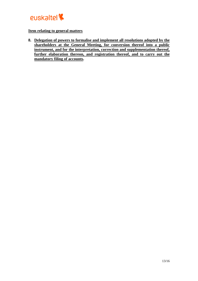

## **Item relating to general matters**

**8. Delegation of powers to formalise and implement all resolutions adopted by the shareholders at the General Meeting, for conversion thereof into a public instrument, and for the interpretation, correction and supplementation thereof, further elaboration thereon, and registration thereof, and to carry out the mandatory filing of accounts.**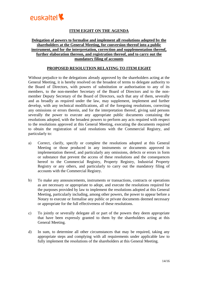

# **ITEM EIGHT ON THE AGENDA**

## **Delegation of powers to formalise and implement all resolutions adopted by the shareholders at the General Meeting, for conversion thereof into a public instrument, and for the interpretation, correction and supplementation thereof, further elaboration thereon, and registration thereof, and to carry out the mandatory filing of accounts**

#### **PROPOSED RESOLUTION RELATING TO ITEM EIGHT**

Without prejudice to the delegations already approved by the shareholders acting at the General Meeting, it is hereby resolved on the broadest of terms to delegate authority to the Board of Directors, with powers of substitution or authorisation to any of its members, to the non-member Secretary of the Board of Directors and to the nonmember Deputy Secretary of the Board of Directors, such that any of them, severally and as broadly as required under the law, may supplement, implement and further develop, with any technical modifications, all of the foregoing resolutions, correcting any omissions or errors therein, and for the interpretation thereof, giving said persons severally the power to execute any appropriate public documents containing the resolutions adopted, with the broadest powers to perform any acts required with respect to the resolutions approved at this General Meeting, executing the documents required to obtain the registration of said resolutions with the Commercial Registry, and particularly to:

- a) Correct, clarify, specify or complete the resolutions adopted at this General Meeting or those produced in any instruments or documents approved in implementation thereof, and particularly any omissions, defects or errors in form or substance that prevent the access of these resolutions and the consequences hereof to the Commercial Registry, Property Registry, Industrial Property Registry or any others, and particularly to carry out the mandatory filing of accounts with the Commercial Registry.
- b) To make any announcements, instruments or transactions, contracts or operations as are necessary or appropriate to adopt, and execute the resolutions required for the purposes provided by law to implement the resolutions adopted at this General Meeting, particularly including, among other powers, the power to appear before a Notary to execute or formalise any public or private documents deemed necessary or appropriate for the full effectiveness of these resolutions.
- c) To jointly or severally delegate all or part of the powers they deem appropriate that have been expressly granted to them by the shareholders acting at this General Meeting.
- d) In sum, to determine all other circumstances that may be required, taking any appropriate steps and complying with all requirements under applicable law to fully implement the resolutions of the shareholders at this General Meeting.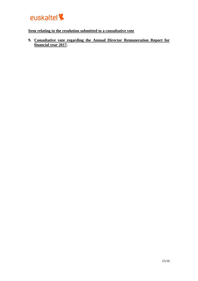

# **Item relating to the resolution submitted to a consultative vote**

**9. Consultative vote regarding the Annual Director Remuneration Report for financial year 2017.**